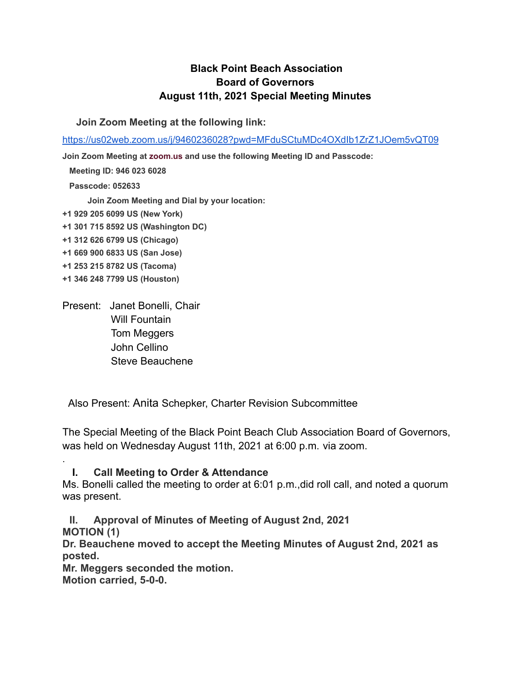## **Black Point Beach Association Board of Governors August 11th, 2021 Special Meeting Minutes**

**Join Zoom Meeting at the following link:**

<https://us02web.zoom.us/j/9460236028?pwd=MFduSCtuMDc4OXdIb1ZrZ1JOem5vQT09>

**Join Zoom Meeting at [zoom.us](http://zoom.us/) and use the following Meeting ID and Passcode:**

**Meeting ID: 946 023 6028**

**Passcode: 052633**

**Join Zoom Meeting and Dial by your location:**

- **+1 929 205 6099 US (New York)**
- **+1 301 715 8592 US (Washington DC)**
- **+1 312 626 6799 US (Chicago)**
- **+1 669 900 6833 US (San Jose)**
- **+1 253 215 8782 US (Tacoma)**
- **+1 346 248 7799 US (Houston)**

.

Present: Janet Bonelli, Chair Will Fountain Tom Meggers John Cellino Steve Beauchene

Also Present: Anita Schepker, Charter Revision Subcommittee

The Special Meeting of the Black Point Beach Club Association Board of Governors, was held on Wednesday August 11th, 2021 at 6:00 p.m. via zoom.

**I. Call Meeting to Order & Attendance** Ms. Bonelli called the meeting to order at 6:01 p.m.,did roll call, and noted a quorum was present.

**II. Approval of Minutes of Meeting of August 2nd, 2021 MOTION (1)**

**Dr. Beauchene moved to accept the Meeting Minutes of August 2nd, 2021 as posted.**

**Mr. Meggers seconded the motion. Motion carried, 5-0-0.**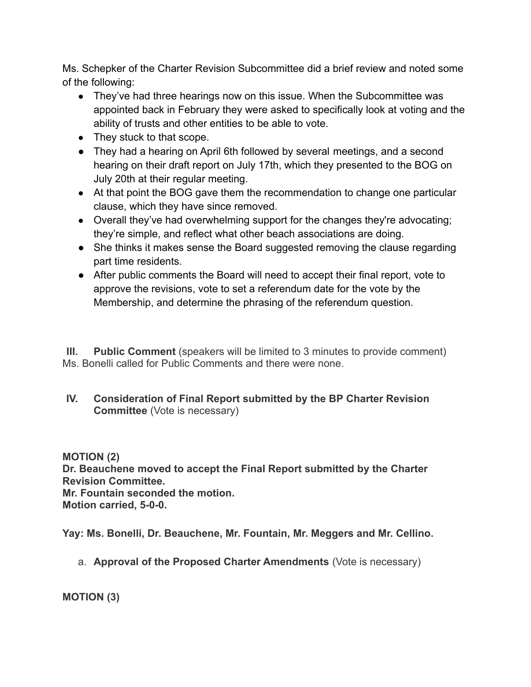Ms. Schepker of the Charter Revision Subcommittee did a brief review and noted some of the following:

- They've had three hearings now on this issue. When the Subcommittee was appointed back in February they were asked to specifically look at voting and the ability of trusts and other entities to be able to vote.
- They stuck to that scope.
- They had a hearing on April 6th followed by several meetings, and a second hearing on their draft report on July 17th, which they presented to the BOG on July 20th at their regular meeting.
- At that point the BOG gave them the recommendation to change one particular clause, which they have since removed.
- Overall they've had overwhelming support for the changes they're advocating; they're simple, and reflect what other beach associations are doing.
- She thinks it makes sense the Board suggested removing the clause regarding part time residents.
- After public comments the Board will need to accept their final report, vote to approve the revisions, vote to set a referendum date for the vote by the Membership, and determine the phrasing of the referendum question.

**III. Public Comment** (speakers will be limited to 3 minutes to provide comment) Ms. Bonelli called for Public Comments and there were none.

**IV. Consideration of Final Report submitted by the BP Charter Revision Committee** (Vote is necessary)

**MOTION (2) Dr. Beauchene moved to accept the Final Report submitted by the Charter Revision Committee. Mr. Fountain seconded the motion. Motion carried, 5-0-0.**

**Yay: Ms. Bonelli, Dr. Beauchene, Mr. Fountain, Mr. Meggers and Mr. Cellino.**

a. **Approval of the Proposed Charter Amendments** (Vote is necessary)

**MOTION (3)**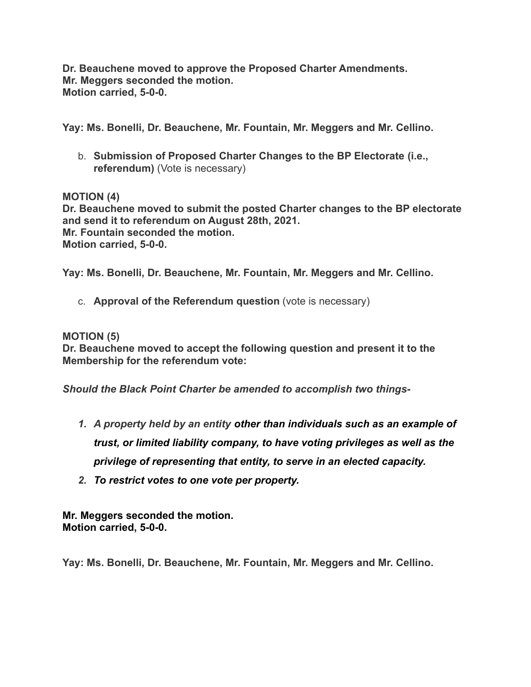**Dr. Beauchene moved to approve the Proposed Charter Amendments. Mr. Meggers seconded the motion. Motion carried, 5-0-0.**

**Yay: Ms. Bonelli, Dr. Beauchene, Mr. Fountain, Mr. Meggers and Mr. Cellino.**

b. **Submission of Proposed Charter Changes to the BP Electorate (i.e., referendum)** (Vote is necessary)

**MOTION (4) Dr. Beauchene moved to submit the posted Charter changes to the BP electorate and send it to referendum on August 28th, 2021. Mr. Fountain seconded the motion. Motion carried, 5-0-0.**

**Yay: Ms. Bonelli, Dr. Beauchene, Mr. Fountain, Mr. Meggers and Mr. Cellino.**

c. **Approval of the Referendum question** (vote is necessary)

**MOTION (5)**

**Dr. Beauchene moved to accept the following question and present it to the Membership for the referendum vote:**

*Should the Black Point Charter be amended to accomplish two things-*

- *1. A property held by an entity other than individuals such as an example of trust, or limited liability company, to have voting privileges as well as the privilege of representing that entity, to serve in an elected capacity.*
- *2. To restrict votes to one vote per property.*

**Mr. Meggers seconded the motion. Motion carried, 5-0-0.**

**Yay: Ms. Bonelli, Dr. Beauchene, Mr. Fountain, Mr. Meggers and Mr. Cellino.**